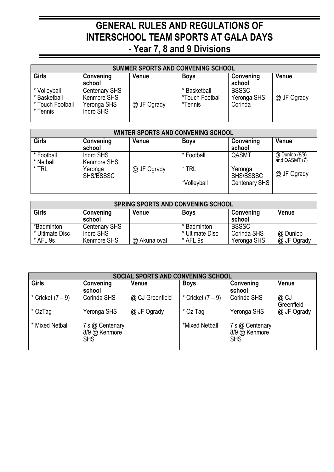## **GENERAL RULES AND REGULATIONS OF INTERSCHOOL TEAM SPORTS AT GALA DAYS - Year 7, 8 and 9 Divisions**

| <b>SUMMER SPORTS AND CONVENING SCHOOL</b>                    |                                                                 |              |                                            |                                        |              |  |
|--------------------------------------------------------------|-----------------------------------------------------------------|--------------|--------------------------------------------|----------------------------------------|--------------|--|
| Girls                                                        | Convening<br>school                                             | <b>Venue</b> | <b>Boys</b>                                | Convening<br>school                    | <b>Venue</b> |  |
| * Volleyball<br>* Basketball<br>* Touch Football<br>* Tennis | <b>Centenary SHS</b><br>Kenmore SHS<br>Yeronga SHS<br>Indro SHS | @ JF Ogrady  | * Basketball<br>*Touch Football<br>*Tennis | <b>BSSSC</b><br>Yeronga SHS<br>Corinda | @ JF Ogrady  |  |

| <b>WINTER SPORTS AND CONVENING SCHOOL</b> |                          |              |             |                      |                                 |  |
|-------------------------------------------|--------------------------|--------------|-------------|----------------------|---------------------------------|--|
| Girls                                     | Convening<br>school      | <b>Venue</b> | <b>Boys</b> | Convening<br>school  | <b>Venue</b>                    |  |
| * Football<br>* Netball                   | Indro SHS<br>Kenmore SHS |              | * Football  | QASMT                | @ Dunlop (8/9)<br>and QASMT (7) |  |
| * TRL                                     | Yeronga<br>SHS/BSSSC     | @ JF Ogrady  | $*$ TRL     | Yeronga<br>SHS/BSSSC | @ JF Ogrady                     |  |
|                                           |                          |              | *Volleyball | Centenary SHS        |                                 |  |

| <b>SPRING SPORTS AND CONVENING SCHOOL</b> |                                                  |              |                                            |                                            |                         |  |
|-------------------------------------------|--------------------------------------------------|--------------|--------------------------------------------|--------------------------------------------|-------------------------|--|
| <b>Girls</b>                              | Convening<br>school                              | <b>Venue</b> | <b>Boys</b>                                | Convening<br>school                        | <b>Venue</b>            |  |
| *Badminton<br>* Ultimate Disc<br>* AFL 9s | <b>Centenary SHS</b><br>Indro SHS<br>Kenmore SHS | @ Akuna oval | * Badminton<br>* Ultimate Disc<br>* AFL 9s | <b>BSSSC</b><br>Corinda SHS<br>Yeronga SHS | @ Dunlop<br>@ JF Ogrady |  |

| <b>SOCIAL SPORTS AND CONVENING SCHOOL</b> |                                                |                 |                   |                                                |                    |  |
|-------------------------------------------|------------------------------------------------|-----------------|-------------------|------------------------------------------------|--------------------|--|
| <b>Girls</b>                              | Convening<br>school                            | Venue           | <b>Boys</b>       | Convening<br>school                            | Venue              |  |
| * Cricket $(7-9)$                         | Corinda SHS                                    | @ CJ Greenfield | * Cricket $(7-9)$ | Corinda SHS                                    | @ CJ<br>Greenfield |  |
| * OzTag                                   | Yeronga SHS                                    | @ JF Ogrady     | * Oz Tag          | Yeronga SHS                                    | @ JF Ogrady        |  |
| * Mixed Netball                           | 7's @ Centenary<br>8/9 @ Kenmore<br><b>SHS</b> |                 | *Mixed Netball    | 7's @ Centenary<br>8/9 @ Kenmore<br><b>SHS</b> |                    |  |